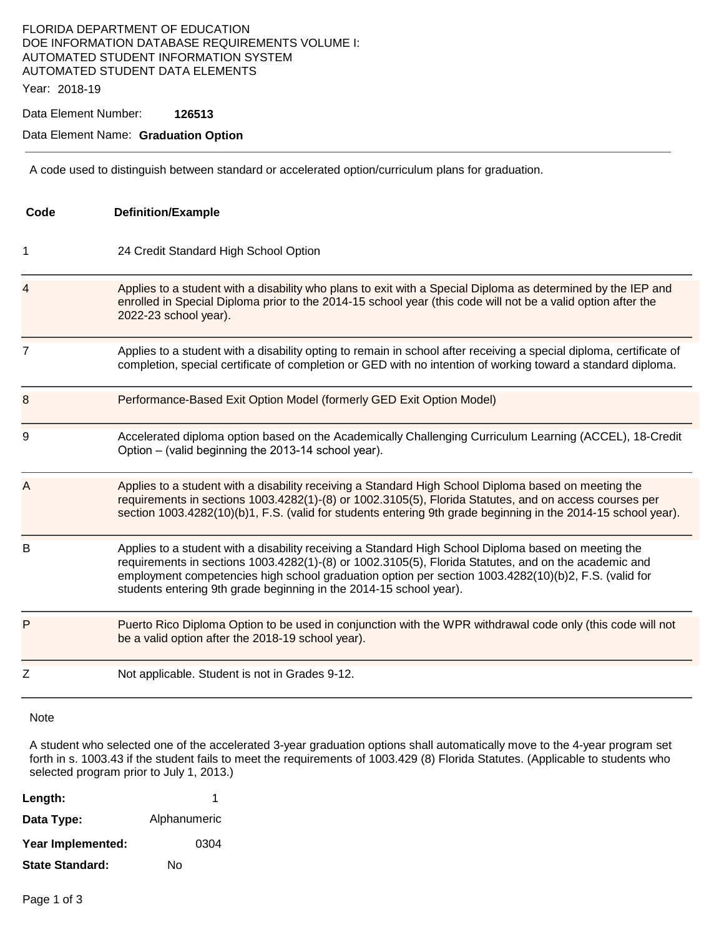# FLORIDA DEPARTMENT OF EDUCATION DOE INFORMATION DATABASE REQUIREMENTS VOLUME I: AUTOMATED STUDENT INFORMATION SYSTEM AUTOMATED STUDENT DATA ELEMENTS

Year: 2018-19

Data Element Number: **126513** 

#### Data Element Name: **Graduation Option**

A code used to distinguish between standard or accelerated option/curriculum plans for graduation.

| Code | <b>Definition/Example</b>                                                                                                                                                                                                                                                                                                                                                                  |
|------|--------------------------------------------------------------------------------------------------------------------------------------------------------------------------------------------------------------------------------------------------------------------------------------------------------------------------------------------------------------------------------------------|
| 1    | 24 Credit Standard High School Option                                                                                                                                                                                                                                                                                                                                                      |
| 4    | Applies to a student with a disability who plans to exit with a Special Diploma as determined by the IEP and<br>enrolled in Special Diploma prior to the 2014-15 school year (this code will not be a valid option after the<br>2022-23 school year).                                                                                                                                      |
| 7    | Applies to a student with a disability opting to remain in school after receiving a special diploma, certificate of<br>completion, special certificate of completion or GED with no intention of working toward a standard diploma.                                                                                                                                                        |
| 8    | Performance-Based Exit Option Model (formerly GED Exit Option Model)                                                                                                                                                                                                                                                                                                                       |
| 9    | Accelerated diploma option based on the Academically Challenging Curriculum Learning (ACCEL), 18-Credit<br>Option – (valid beginning the 2013-14 school year).                                                                                                                                                                                                                             |
| Α    | Applies to a student with a disability receiving a Standard High School Diploma based on meeting the<br>requirements in sections 1003.4282(1)-(8) or 1002.3105(5), Florida Statutes, and on access courses per<br>section 1003.4282(10)(b)1, F.S. (valid for students entering 9th grade beginning in the 2014-15 school year).                                                            |
| B    | Applies to a student with a disability receiving a Standard High School Diploma based on meeting the<br>requirements in sections 1003.4282(1)-(8) or 1002.3105(5), Florida Statutes, and on the academic and<br>employment competencies high school graduation option per section 1003.4282(10)(b)2, F.S. (valid for<br>students entering 9th grade beginning in the 2014-15 school year). |
| P    | Puerto Rico Diploma Option to be used in conjunction with the WPR withdrawal code only (this code will not<br>be a valid option after the 2018-19 school year).                                                                                                                                                                                                                            |
| Z    | Not applicable. Student is not in Grades 9-12.                                                                                                                                                                                                                                                                                                                                             |
|      |                                                                                                                                                                                                                                                                                                                                                                                            |

Note

A student who selected one of the accelerated 3-year graduation options shall automatically move to the 4-year program set forth in s. 1003.43 if the student fails to meet the requirements of 1003.429 (8) Florida Statutes. (Applicable to students who selected program prior to July 1, 2013.)

| Length:                | 1            |
|------------------------|--------------|
| Data Type:             | Alphanumeric |
| Year Implemented:      | 0304         |
| <b>State Standard:</b> | N٥           |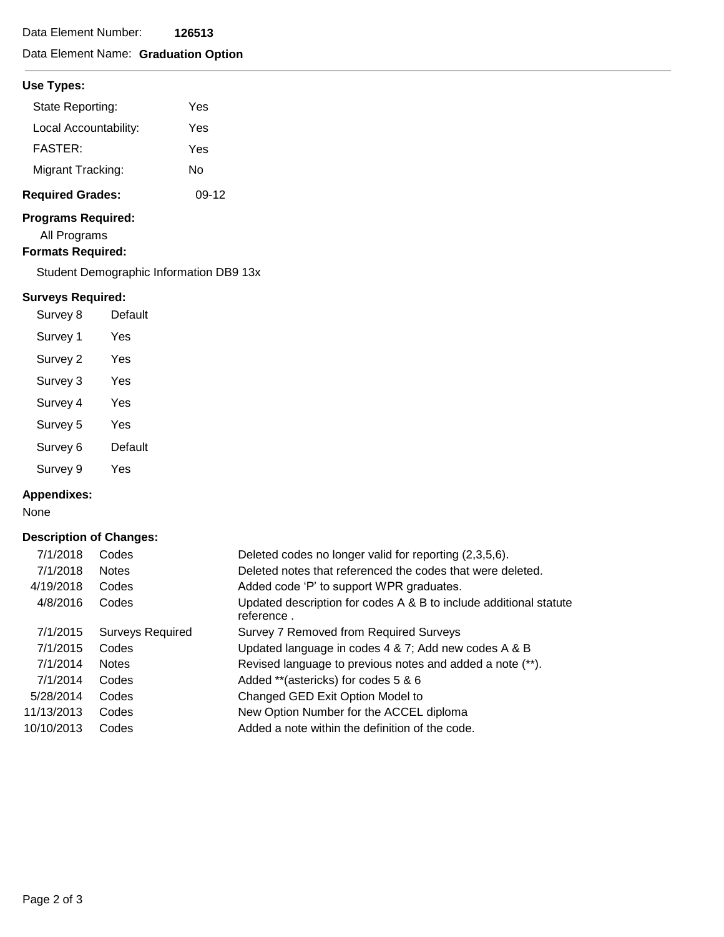# Data Element Name: **Graduation Option**

### **Use Types:**

| <b>Required Grades:</b> | 09-12 |
|-------------------------|-------|
| Migrant Tracking:       | N٥    |
| <b>FASTER:</b>          | Yes   |
| Local Accountability:   | Yes   |
| State Reporting:        | Yes   |

## **Programs Required:**

All Programs

**Formats Required:** 

Student Demographic Information DB9 13x

### **Surveys Required:**

| Survey 8 | Default |
|----------|---------|
| Survey 1 | Yes     |
| Survey 2 | Yes     |
| Survey 3 | Yes     |
| Survey 4 | Yes     |
| Survey 5 | Yes     |
| Survey 6 | Default |
| Survey 9 | Yes     |

#### **Appendixes:**

None

### **Description of Changes:**

| 7/1/2018   | Codes                   | Deleted codes no longer valid for reporting (2,3,5,6).                          |
|------------|-------------------------|---------------------------------------------------------------------------------|
| 7/1/2018   | <b>Notes</b>            | Deleted notes that referenced the codes that were deleted.                      |
| 4/19/2018  | Codes                   | Added code 'P' to support WPR graduates.                                        |
| 4/8/2016   | Codes                   | Updated description for codes A & B to include additional statute<br>reference. |
| 7/1/2015   | <b>Surveys Required</b> | Survey 7 Removed from Required Surveys                                          |
| 7/1/2015   | Codes                   | Updated language in codes 4 & 7; Add new codes A & B                            |
| 7/1/2014   | <b>Notes</b>            | Revised language to previous notes and added a note (**).                       |
| 7/1/2014   | Codes                   | Added **(astericks) for codes 5 & 6                                             |
| 5/28/2014  | Codes                   | Changed GED Exit Option Model to                                                |
| 11/13/2013 | Codes                   | New Option Number for the ACCEL diploma                                         |
| 10/10/2013 | Codes                   | Added a note within the definition of the code.                                 |